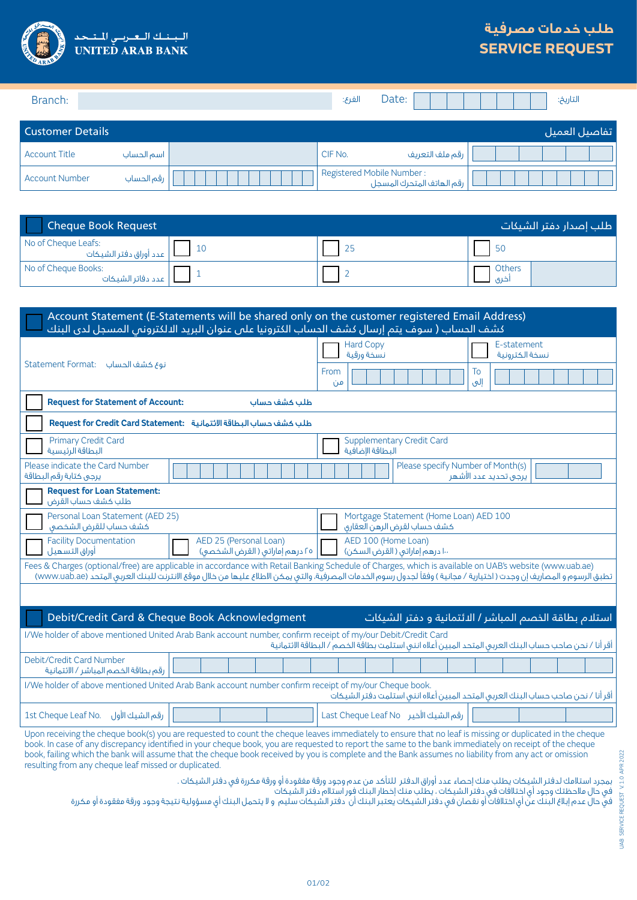

## **طلب خدمات مصرفية SERVICE REQUEST**

| Branch:                 |            | الفرع:  | Date:                                                  | التاريخ:       |
|-------------------------|------------|---------|--------------------------------------------------------|----------------|
| <b>Customer Details</b> |            |         |                                                        | اتفاصيل العميل |
| Account Title           | اسم الحساب | CIF No. | رقم ملف التعريف                                        |                |
| Account Number          | رقم الحساب |         | Registered Mobile Number:<br>رقم الهاتف المتحرك المسجل |                |

| <b>Cheque Book Request</b>                    | طلب إصدار دفتر الشيكات |  |                |
|-----------------------------------------------|------------------------|--|----------------|
| No of Cheque Leafs:<br>عدد أوراق دفتر الشيكات | -10                    |  | <b>50</b>      |
| No of Cheque Books:<br>عدد دفاتر الشيكات      |                        |  | Others<br>اخری |

| Account Statement (E-Statements will be shared only on the customer registered Email Address)<br>كشف الحساب ( سوف يتم إرسال كشف الحساب الكترونيا على عنوان البريد الالكتروني المسجل لدى البنك                                                                                                                                    |                                                                                             |  |  |  |
|----------------------------------------------------------------------------------------------------------------------------------------------------------------------------------------------------------------------------------------------------------------------------------------------------------------------------------|---------------------------------------------------------------------------------------------|--|--|--|
| نوع كشف الحساب Statement Format:                                                                                                                                                                                                                                                                                                 | <b>Hard Copy</b><br>E-statement<br>نسخة ورقية<br>نسخة الكترونية<br>From<br>To<br>إلىي<br>من |  |  |  |
| <b>Request for Statement of Account:</b><br>طلب كشف حساب                                                                                                                                                                                                                                                                         |                                                                                             |  |  |  |
| Request for Credit Card Statement: طلب كشف حساب البطاقة الائتمانية                                                                                                                                                                                                                                                               |                                                                                             |  |  |  |
| <b>Primary Credit Card</b><br>البطاقة الرئيسية                                                                                                                                                                                                                                                                                   | <b>Supplementary Credit Card</b><br>البطاقة الاضافية                                        |  |  |  |
| Please indicate the Card Number<br>يرجى كتابة رقم البطاقة                                                                                                                                                                                                                                                                        | Please specify Number of Month(s)<br>يرجى تحديد عدد الأشهر                                  |  |  |  |
| <b>Request for Loan Statement:</b><br>طلب كشف حساب القرض                                                                                                                                                                                                                                                                         |                                                                                             |  |  |  |
| Personal Loan Statement (AED 25)<br>كشف حساب للقرض الشخصى                                                                                                                                                                                                                                                                        | Mortgage Statement (Home Loan) AED 100<br>كشف حساب لقرض الرهن العقارى                       |  |  |  |
| <b>Facility Documentation</b><br>AED 25 (Personal Loan)<br>أوراق التسهيل<br>٢٥ درهم إماراتي ( القرض الشخصي)                                                                                                                                                                                                                      | AED 100 (Home Loan)<br>١٠٠ درهم إماراتي ( القرض السكن)                                      |  |  |  |
| Fees & Charges (optional/free) are applicable in accordance with Retail Banking Schedule of Charges, which is available on UAB's website (www.uab.ae)<br>تطبق الرسوم و المصاريف إن وجدت ( اختيارية / مجانية ) وفقاً لجدول رسوم الخدمات المصرفية، والتي يمكن الاطلاع عليها من خلال موقع الانترنت للبنك العربي المتحد (www.uab.ae) |                                                                                             |  |  |  |
|                                                                                                                                                                                                                                                                                                                                  |                                                                                             |  |  |  |
| Debit/Credit Card & Cheque Book Acknowledgment<br>استلام بطاقة الخصم المباشر / الائتمانية و دفتر الشيكات                                                                                                                                                                                                                         |                                                                                             |  |  |  |
| I/We holder of above mentioned United Arab Bank account number, confirm receipt of my/our Debit/Credit Card<br>أقر أنا / نحن صاحب حساب البنك العربى المتحد المبين أعلاه اننى استلمت بطاقة الخصم / البطاقة الائتمانية                                                                                                             |                                                                                             |  |  |  |
| Debit/Credit Card Number<br>رقم بطاقة الخصم المباشر / الائتمانية                                                                                                                                                                                                                                                                 |                                                                                             |  |  |  |
| I/We holder of above mentioned United Arab Bank account number confirm receipt of my/our Cheque book.<br>أقر أنا / نحن صاحب حساب البنك العربى المتحد المبين أعلاه اننى استلمت دفتر الشيكات                                                                                                                                       |                                                                                             |  |  |  |
| رقم الشيك الأول<br>1st Cheque Leaf No.                                                                                                                                                                                                                                                                                           | رقم الشيك الأخير Last Cheque Leaf No                                                        |  |  |  |
| Upon receiving the cheque book(s) you are requested to count the cheque leaves immediately to ensure that no leaf is missing or duplicated in the cheque                                                                                                                                                                         |                                                                                             |  |  |  |

book. In case of any discrepancy identified in your cheque book, you are requested to report the same to the bank immediately on receipt of the cheque book, failing which the bank will assume that the cheque book received by you is complete and the Bank assumes no liability from any act or omission resulting from any cheque leaf missed or duplicated.

بمجرد استالمك لدفتر الشيكات يطلب منك إحصاء عدد أوراق الدفتر للتأكد من عدم وجود ورقة مفقودة أو ورقة مكررة في دفتر الشيكات .

في حال مالحظتك وجود أي اختالفات في دفتر الشيكات ، يطلب منك إخطار البنك فور استالم دفتر الشيكات

في حال عدم إبلاغ البنك عن أي اختلافات أو نقصان في دفتر الشيكات يكتبر البنك أن دفتر الشيكات سليم و لا يتحمل البنك أي مسؤولية نتيجة وجود ورقة مفقودة أو مكررة